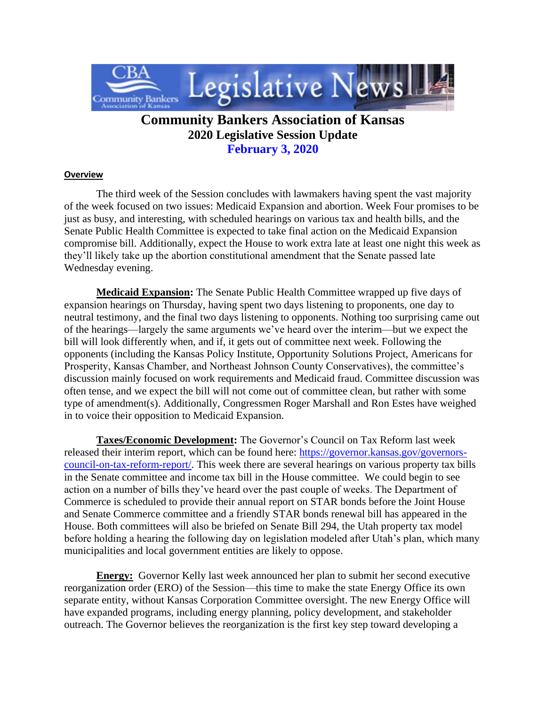

## **Community Bankers Association of Kansas 2020 Legislative Session Update February 3, 2020**

## **Overview**

 The third week of the Session concludes with lawmakers having spent the vast majority of the week focused on two issues: Medicaid Expansion and abortion. Week Four promises to be just as busy, and interesting, with scheduled hearings on various tax and health bills, and the Senate Public Health Committee is expected to take final action on the Medicaid Expansion compromise bill. Additionally, expect the House to work extra late at least one night this week as they'll likely take up the abortion constitutional amendment that the Senate passed late Wednesday evening.

 **Medicaid Expansion:** The Senate Public Health Committee wrapped up five days of expansion hearings on Thursday, having spent two days listening to proponents, one day to neutral testimony, and the final two days listening to opponents. Nothing too surprising came out of the hearings—largely the same arguments we've heard over the interim—but we expect the bill will look differently when, and if, it gets out of committee next week. Following the opponents (including the Kansas Policy Institute, Opportunity Solutions Project, Americans for Prosperity, Kansas Chamber, and Northeast Johnson County Conservatives), the committee's discussion mainly focused on work requirements and Medicaid fraud. Committee discussion was often tense, and we expect the bill will not come out of committee clean, but rather with some type of amendment(s). Additionally, Congressmen Roger Marshall and Ron Estes have weighed in to voice their opposition to Medicaid Expansion.

 **Taxes/Economic Development:** The Governor's Council on Tax Reform last week released their interim report, which can be found here: [https://governor.kansas.gov/governors](https://governor.kansas.gov/governors-council-on-tax-reform-report/)[council-on-tax-reform-report/.](https://governor.kansas.gov/governors-council-on-tax-reform-report/) This week there are several hearings on various property tax bills in the Senate committee and income tax bill in the House committee. We could begin to see action on a number of bills they've heard over the past couple of weeks. The Department of Commerce is scheduled to provide their annual report on STAR bonds before the Joint House and Senate Commerce committee and a friendly STAR bonds renewal bill has appeared in the House. Both committees will also be briefed on Senate Bill 294, the Utah property tax model before holding a hearing the following day on legislation modeled after Utah's plan, which many municipalities and local government entities are likely to oppose.

**Energy:** Governor Kelly last week announced her plan to submit her second executive reorganization order (ERO) of the Session—this time to make the state Energy Office its own separate entity, without Kansas Corporation Committee oversight. The new Energy Office will have expanded programs, including energy planning, policy development, and stakeholder outreach. The Governor believes the reorganization is the first key step toward developing a